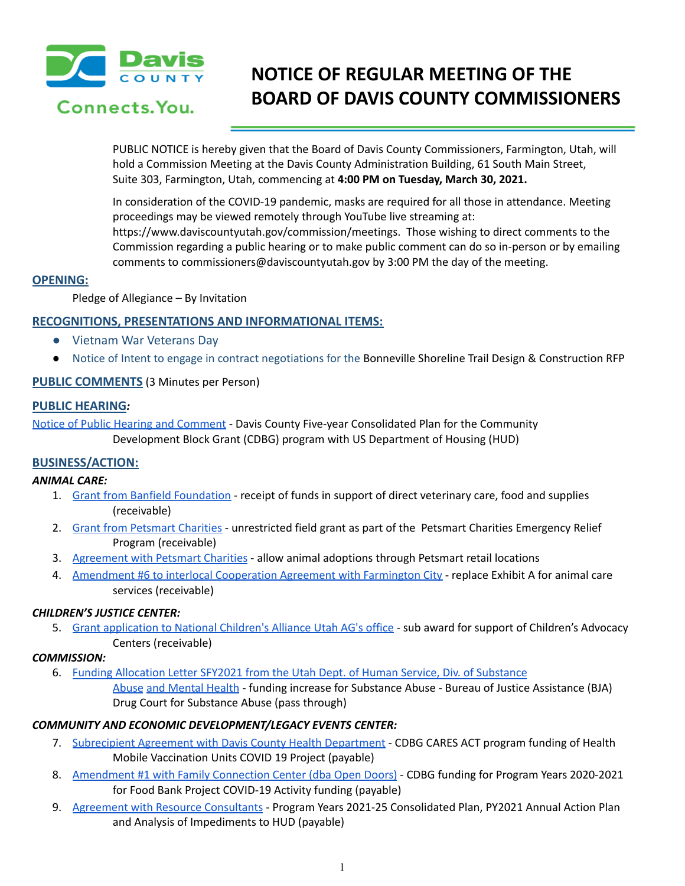

# Connects. You.

# **NOTICE OF REGULAR MEETING OF THE BOARD OF DAVIS COUNTY COMMISSIONERS**

PUBLIC NOTICE is hereby given that the Board of Davis County Commissioners, Farmington, Utah, will hold a Commission Meeting at the Davis County Administration Building, 61 South Main Street, Suite 303, Farmington, Utah, commencing at **4:00 PM on Tuesday, March 30, 2021.**

In consideration of the COVID-19 pandemic, masks are required for all those in attendance. Meeting proceedings may be viewed remotely through YouTube live streaming at: https://www.daviscountyutah.gov/commission/meetings. Those wishing to direct comments to the Commission regarding a public hearing or to make public comment can do so in-person or by emailing comments to commissioners@daviscountyutah.gov by 3:00 PM the day of the meeting.

# **OPENING:**

Pledge of Allegiance – By Invitation

# **RECOGNITIONS, PRESENTATIONS AND INFORMATIONAL ITEMS:**

- Vietnam War Veterans Day
- Notice of Intent to engage in contract negotiations for the Bonneville Shoreline Trail Design & Construction RFP

# **PUBLIC COMMENTS** (3 Minutes per Person)

# **PUBLIC HEARING***:*

Notice of Public Hearing and [Comment](https://drive.google.com/file/d/1wGbl-FzWGx7I_BcSESPz0ZvrJiK-SY1i/view?usp=drivesdk) - Davis County Five-year Consolidated Plan for the Community Development Block Grant (CDBG) program with US Department of Housing (HUD)

#### **BUSINESS/ACTION:**

#### *ANIMAL CARE:*

- 1. Grant from Banfield [Foundation](https://drive.google.com/file/d/1ZbNTmnRajQaIveszWGt-9xv4lY3DOu05/view?usp=drivesdk) receipt of funds in support of direct veterinary care, food and supplies (receivable)
- 2. Grant from [Petsmart](https://drive.google.com/file/d/1fBiU7R-qsyZJh1ePCTp2ODbWFePqMJzP/view?usp=drivesdk) Charities unrestricted field grant as part of the Petsmart Charities Emergency Relief Program (receivable)
- 3. [Agreement](https://drive.google.com/file/d/1kTJ5D1FSdnMnUpnfYPiRBQipL2zbaAv6/view?usp=drivesdk) with Petsmart Charities allow animal adoptions through Petsmart retail locations
- 4. [Amendment](https://drive.google.com/file/d/1YxE3r6xC49ul1cqW5CrX7JwuowGpazyB/view?usp=drivesdk) #6 to interlocal Cooperation Agreement with Farmington City replace Exhibit A for animal care services (receivable)

#### *CHILDREN'S JUSTICE CENTER:*

5. Grant [application](https://drive.google.com/file/d/1LhxnnolOGdH9qj7knsn_U8qGe3BSQGcm/view?usp=drivesdk) to National Children's Alliance Utah AG's office - sub award for support of Children's Advocacy Centers (receivable)

#### *COMMISSION:*

6. Funding Allocation Letter SFY2021 from the Utah Dept. of Human Service, Div. of [Substance](https://drive.google.com/file/d/1PciczcqYcSwBnlhwbLb5IN3jleZJBRUK/view?usp=drivesdk) Abuse and [Mental](https://drive.google.com/file/d/1PciczcqYcSwBnlhwbLb5IN3jleZJBRUK/view?usp=drivesdk) Health - funding increase for Substance Abuse - Bureau of Justice Assistance (BJA) Drug Court for Substance Abuse (pass through)

#### *COMMUNITY AND ECONOMIC DEVELOPMENT/LEGACY EVENTS CENTER:*

- 7. [Subrecipient](https://drive.google.com/file/d/11YkxloipJGErw_DfrJN-sBJS2ar5ikTQ/view?usp=drivesdk) Agreem[en](https://drive.google.com/file/d/11YkxloipJGErw_DfrJN-sBJS2ar5ikTQ/view?usp=drivesdk)t with Davis County Health Department CDBG CARES ACT program funding of Health Mobile Vaccination Units COVID 19 Project (payable)
- 8. [Amendment](https://drive.google.com/file/d/1hkBZmkrrw3NIfTHrG2uzkpboI-IQUQgS/view?usp=drivesdk) #1 with Family Connection Center (dba Open Doors) CDBG funding for Program Years 2020-2021 for Food Bank Project COVID-19 Activity funding (payable)
- 9. Agreement with Resource [Consultants](https://drive.google.com/file/d/1JjuF4SCm3wcktnAbJ2hQdJq9IprRWQoo/view?usp=drivesdk) Program Years 2021-25 Consolidated Plan, PY2021 Annual Action Plan and Analysis of Impediments to HUD (payable)